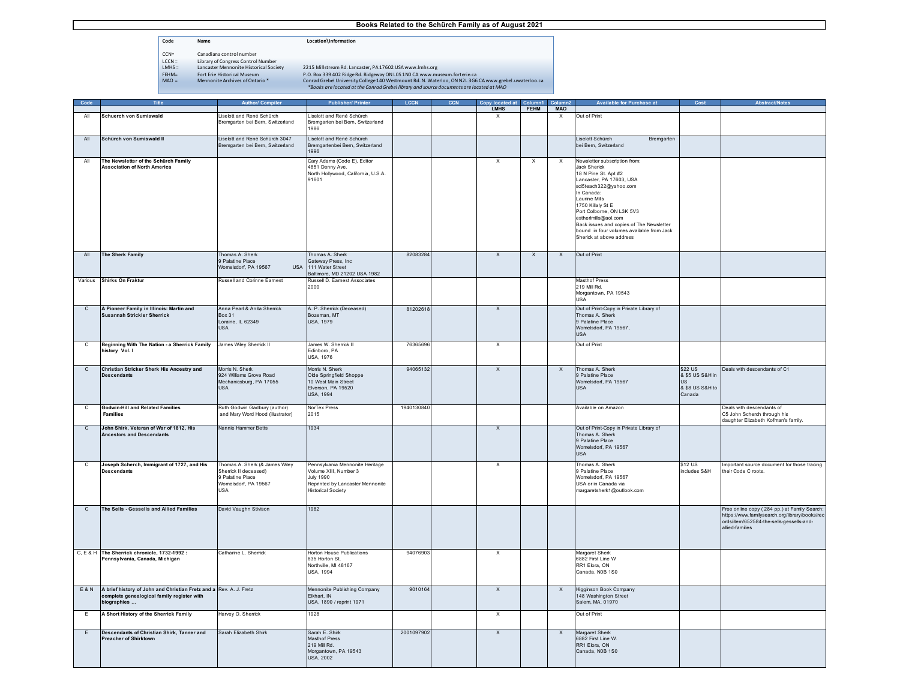- **Code Name Location\Information**
- CCN= Canadiana control number<br>
LCCN= Library of Congress Control<br>
LMHS = Lancaster Mennonite Historia<br>
FEHM= Fort Erie Historical Museum<br>
MAO = Mennonite Archives of Onta
	- Library of Congress Control Number<br>Library of Congress Control Number<br>Lancaster Mennonite Historical Society
		-

|                |                                                                                                                                       |                                                                                                          |                                                                                                                                               |            | v locat                   |              |                           |                                                                                                                                                                                                                                                                                                                                                           |                                                               |                                                                                                                                                               |
|----------------|---------------------------------------------------------------------------------------------------------------------------------------|----------------------------------------------------------------------------------------------------------|-----------------------------------------------------------------------------------------------------------------------------------------------|------------|---------------------------|--------------|---------------------------|-----------------------------------------------------------------------------------------------------------------------------------------------------------------------------------------------------------------------------------------------------------------------------------------------------------------------------------------------------------|---------------------------------------------------------------|---------------------------------------------------------------------------------------------------------------------------------------------------------------|
|                |                                                                                                                                       |                                                                                                          |                                                                                                                                               |            | <b>LMHS</b>               | <b>FEHM</b>  | <b>MAO</b>                |                                                                                                                                                                                                                                                                                                                                                           |                                                               |                                                                                                                                                               |
| All            | Schuerch von Sumiswald                                                                                                                | iselott and René Schürch<br>Bremgarten bei Bern, Switzerland                                             | iselott and René Schürch<br>Bremgarten bei Bern, Switzerland<br>8891                                                                          |            | $\times$                  |              | $\times$                  | Out of Print                                                                                                                                                                                                                                                                                                                                              |                                                               |                                                                                                                                                               |
| All            | Schürch von Sumiswald II                                                                                                              | Liselott and René Schürch 3047<br>Bremgarten bei Bern, Switzerland                                       | iselott and René Schürch<br>Bremgartenbei Bern, Switzerland<br>1996                                                                           |            |                           |              |                           | Liselott Schürch<br>Bremgarten<br>bei Bern, Switzerland                                                                                                                                                                                                                                                                                                   |                                                               |                                                                                                                                                               |
| All            | The Newsletter of the Schürch Family<br><b>Association of North America</b>                                                           |                                                                                                          | Cary Adams (Code E), Editor<br>4851 Denny Ave.<br>North Hollywood, California, U.S.A.<br>91601                                                |            | $\times$                  | X            | X                         | Newsletter subscription from:<br>Jack Sherick<br>18 N Pine St. Apt #2<br>Lancaster, PA 17603, USA<br>sci5teach322@yahoo.com<br>In Canada:<br>Laurine Mills<br>1750 Killaly St E<br>Port Colborne, ON L3K 5V3<br>estherlmills@aol.com<br>Back issues and copies of The Newsletter<br>bound in four volumes available from Jack<br>Sherick at above address |                                                               |                                                                                                                                                               |
| All            | <b>The Sherk Family</b>                                                                                                               | Thomas A. Sherk<br>9 Palatine Place<br>Womelsdorf, PA 19567<br><b>USA</b>                                | Thomas A. Sherk<br>Gateway Press, Inc<br>111 Water Street<br>Baltimore, MD 21202 USA 1982                                                     | 82083284   | $\mathsf{x}$              | $\mathsf{x}$ | $\mathsf{X}$              | Out of Print                                                                                                                                                                                                                                                                                                                                              |                                                               |                                                                                                                                                               |
| Various        | <b>Shirks On Fraktur</b>                                                                                                              | <b>Russell and Corinne Eamest</b>                                                                        | Russell D. Eamest Associates<br>2000                                                                                                          |            |                           |              |                           | <b>Masthof Press</b><br>219 Mill Rd.<br>Morgantown, PA 19543<br>USA                                                                                                                                                                                                                                                                                       |                                                               |                                                                                                                                                               |
| $\overline{c}$ | A Pioneer Family in Illinois: Martin and<br><b>Susannah Strickler Sherrick</b>                                                        | Anna Pearl & Anita Sherrick<br><b>Box 31</b><br>Loraine, IL 62349<br><b>USA</b>                          | A. P. Sherrick (Deceased)<br>Bozeman, MT<br><b>USA, 1979</b>                                                                                  | 81202618   | $\overline{X}$            |              |                           | Out of Print-Copy in Private Library of<br>Thomas A. Sherk<br>9 Palatine Place<br>Womelsdorf, PA 19567,<br><b>USA</b>                                                                                                                                                                                                                                     |                                                               |                                                                                                                                                               |
| c              | Beginning With The Nation - a Sherrick Family<br>history Vol. I                                                                       | James Wiley Sherrick II                                                                                  | James W. Sherrick II<br>Edinboro, PA<br>USA, 1976                                                                                             | 76365696   | Χ                         |              |                           | Out of Print                                                                                                                                                                                                                                                                                                                                              |                                                               |                                                                                                                                                               |
| $\mathbf{C}$   | Christian Stricker Sherk His Ancestry and<br><b>Descendants</b>                                                                       | Morris N. Sherk<br>924 Williams Grove Road<br>Mechanicsburg, PA 17055<br><b>USA</b>                      | Morris N. Sherk<br>Olde Springfield Shoppe<br>10 West Main Street<br>Elverson, PA 19520<br><b>USA, 1994</b>                                   | 94065132   | $\mathsf{X}$              |              | $\mathsf{X}$              | Thomas A. Sherk<br>9 Palatine Place<br>Womelsdorf, PA 19567<br><b>USA</b>                                                                                                                                                                                                                                                                                 | \$22 US<br>& \$5 US S&H in<br>US<br>& \$8 US S&H to<br>Canada | Deals with descendants of C1                                                                                                                                  |
| C              | <b>Godwin-Hill and Related Families</b><br><b>Families</b>                                                                            | Ruth Godwin Gadbury (author)<br>and Mary Word Hood (illustrator)                                         | NorTex Press<br>2015                                                                                                                          | 1940130840 |                           |              |                           | Available on Amazon                                                                                                                                                                                                                                                                                                                                       |                                                               | Deals with descendants of<br>C5 John Scherch through his<br>daughter Elizabeth Kofman's family.                                                               |
| $\mathbf{C}$   | John Shirk, Veteran of War of 1812, His<br><b>Ancestors and Descendants</b>                                                           | Nannie Hammer Betts                                                                                      | 1934                                                                                                                                          |            | $\times$                  |              |                           | Out of Print-Copy in Private Library of<br>Thomas A. Sherk<br>9 Palatine Place<br>Womelsdorf, PA 19567<br><b>USA</b>                                                                                                                                                                                                                                      |                                                               |                                                                                                                                                               |
| c              | Joseph Scherch, Immigrant of 1727, and His<br><b>Descendants</b>                                                                      | Thomas A. Sherk (& James Wiley<br>Shemck II deceased)<br>9 Palatine Place<br>Womelsdorf, PA 19567<br>USA | Pennsylvania Mennonite Heritage<br>Volume XIII, Number 3<br><b>July 1990</b><br>Reprinted by Lancaster Mennonite<br><b>Historical Society</b> |            | $\times$                  |              |                           | Thomas A. Sherk<br>9 Palatine Place<br>Womelsdorf, PA 19567<br>USA or in Canada via<br>margaretsherk1@outlook.com                                                                                                                                                                                                                                         | \$12 US<br>includes S&H                                       | Important source document for those tracing<br>their Code C roots.                                                                                            |
| $\mathsf{C}$   | The Sells - Gessells and Allied Families                                                                                              | David Vaughn Stivison                                                                                    | 1982                                                                                                                                          |            |                           |              |                           |                                                                                                                                                                                                                                                                                                                                                           |                                                               | Free online copy (284 pp.) at Family Search:<br>https://www.familysearch.org/library/books/rec<br>ords/item/652584-the-sells-gessells-and-<br>allied-families |
|                | C, E & H The Sherrick chronicle, 1732-1992 :<br>Pennsylvania, Canada, Michigan                                                        | Catharine L. Sherrick                                                                                    | <b>Horton House Publications</b><br>635 Horton St.<br>Northville, MI 48167<br>USA, 1994                                                       | 94076903   | $\times$                  |              |                           | Margaret Sherk<br>6882 First Line W<br>RR1 Elora, ON<br>Canada, NOB 1S0                                                                                                                                                                                                                                                                                   |                                                               |                                                                                                                                                               |
|                | E & N A brief history of John and Christian Fretz and a Rev. A. J. Fretz<br>complete genealogical family register with<br>oiographies |                                                                                                          | Mennonite Publishing Company<br>Elkhart, IN<br>USA, 1890 / reprint 1971                                                                       | 9010164    | $\mathsf{x}$              |              | $\boldsymbol{\mathsf{x}}$ | Higginson Book Company<br>148 Washington Street<br>Salem, MA. 01970                                                                                                                                                                                                                                                                                       |                                                               |                                                                                                                                                               |
| E              | A Short History of the Sherrick Family                                                                                                | Harvey O. Sherrick                                                                                       | 1928                                                                                                                                          |            | $\boldsymbol{\mathsf{X}}$ |              |                           | Out of Print                                                                                                                                                                                                                                                                                                                                              |                                                               |                                                                                                                                                               |
| F              | Descendants of Christian Shirk, Tanner and<br><b>Preacher of Shirktown</b>                                                            | Sarah Elizabeth Shirk                                                                                    | Sarah E. Shirk<br><b>Masthof Press</b><br>219 Mill Rd.<br>Morgantown, PA 19543<br><b>USA, 2002</b>                                            | 2001097902 | $\overline{x}$            |              | $\mathsf{x}$              | Margaret Sherk<br>6882 First Line W.<br>RR1 Elora, ON<br>Canada, NOB 1S0                                                                                                                                                                                                                                                                                  |                                                               |                                                                                                                                                               |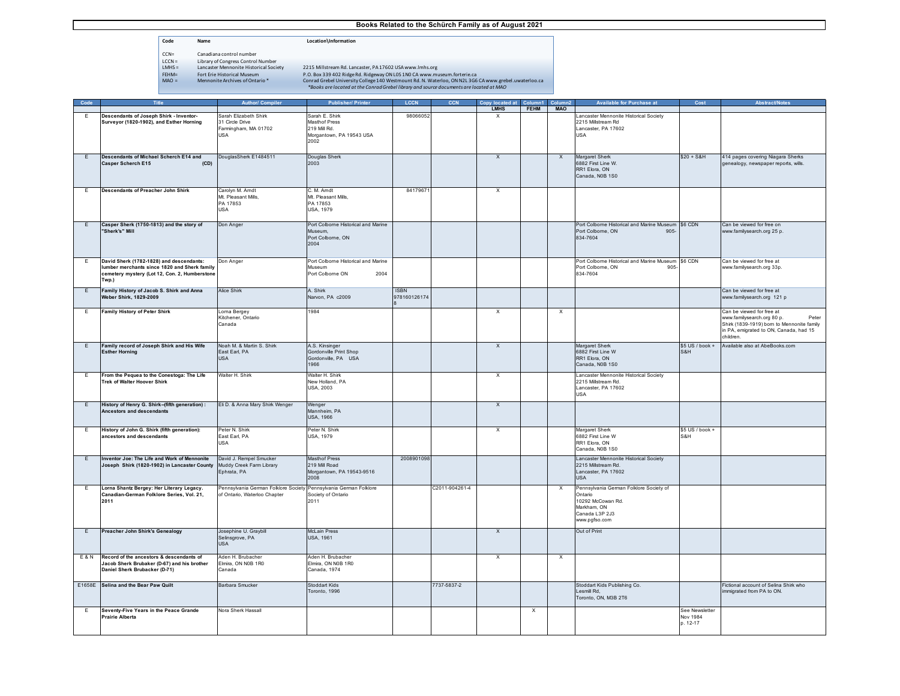**Code Name Location\Information**

- $\begin{tabular}{ll} CCA = & Canadian control number \\ LCCN = & Library of Congress Control \\ LInX = & Lanaster Menonite History \\ FHM = & For the Historical Museum \\ MAO = & Menonite Archives of Ontario \\ \end{tabular}$
- 
- Landuana Control number<br>Library of Congress Control Number<br>Lancaster Mennonite Historical Society<br>Fort Erie Historical Museum

|  |  | *Books are located at the Conrad Grebel library and source documents are located at MAO |
|--|--|-----------------------------------------------------------------------------------------|
|--|--|-----------------------------------------------------------------------------------------|

| Code           | Title                                                                                   | <b>Author/ Compiler</b>                                           | <b>Publisher/ Printer</b>                  | <b>LCCN</b>  | <b>CCN</b>    | Copy located at           | Column1     | Column <sub>2</sub>       | Available for Purchase at                          | Cost             | <b>Abstract/Notes</b>                     |
|----------------|-----------------------------------------------------------------------------------------|-------------------------------------------------------------------|--------------------------------------------|--------------|---------------|---------------------------|-------------|---------------------------|----------------------------------------------------|------------------|-------------------------------------------|
|                |                                                                                         |                                                                   |                                            |              |               | <b>LMHS</b>               | <b>FEHM</b> | <b>MAO</b>                |                                                    |                  |                                           |
| Ε              | Descendants of Joseph Shirk - Inventor-                                                 | Sarah Elizabeth Shirk                                             | Sarah E. Shirk                             | 98066052     |               |                           |             |                           | Lancaster Mennonite Historical Society             |                  |                                           |
|                | Surveyor (1820-1902), and Esther Horning                                                | 31 Circle Drive                                                   | <b>Masthof Press</b>                       |              |               |                           |             |                           | 2215 Millstream Rd                                 |                  |                                           |
|                |                                                                                         | Farmingham, MA 01702                                              | 219 Mill Rd.                               |              |               |                           |             |                           | Lancaster, PA 17602                                |                  |                                           |
|                |                                                                                         | USA                                                               | Morgantown, PA 19543 USA                   |              |               |                           |             |                           | <b>USA</b>                                         |                  |                                           |
|                |                                                                                         |                                                                   | 2002                                       |              |               |                           |             |                           |                                                    |                  |                                           |
|                |                                                                                         |                                                                   |                                            |              |               |                           |             |                           |                                                    |                  |                                           |
| E              | Descendants of Michael Scherch E14 and                                                  | DouglasSherk E1484511                                             | Douglas Sherk                              |              |               | $\boldsymbol{\mathsf{x}}$ |             | $\times$                  | Margaret Sherk                                     | $$20 + S&H$$     | 414 pages covering Niagara Sherks         |
|                | <b>Casper Scherch E15</b><br>(CD)                                                       |                                                                   | 2003                                       |              |               |                           |             |                           | 6882 First Line W.                                 |                  | genealogy, newspaper reports, wills.      |
|                |                                                                                         |                                                                   |                                            |              |               |                           |             |                           | RR1 Elora, ON                                      |                  |                                           |
|                |                                                                                         |                                                                   |                                            |              |               |                           |             |                           | Canada, N0B 1S0                                    |                  |                                           |
|                |                                                                                         |                                                                   |                                            |              |               |                           |             |                           |                                                    |                  |                                           |
| E              | Descendants of Preacher John Shirk                                                      | Carolyn M. Amdt                                                   | C. M. Amdt                                 | 8417967      |               | X                         |             |                           |                                                    |                  |                                           |
|                |                                                                                         | Mt. Pleasant Mills,                                               | Mt. Pleasant Mills,                        |              |               |                           |             |                           |                                                    |                  |                                           |
|                |                                                                                         | PA 17853                                                          | PA 17853                                   |              |               |                           |             |                           |                                                    |                  |                                           |
|                |                                                                                         | USA                                                               | <b>USA, 1979</b>                           |              |               |                           |             |                           |                                                    |                  |                                           |
|                |                                                                                         |                                                                   |                                            |              |               |                           |             |                           |                                                    |                  |                                           |
| E              | Casper Sherk (1750-1813) and the story of                                               | Don Anger                                                         | Port Colborne Historical and Marine        |              |               |                           |             |                           | Port Colborne Historical and Marine Museum \$6 CDN |                  | Can be viewed for free on                 |
|                | "Sherk's" Mill                                                                          |                                                                   | Museum.                                    |              |               |                           |             |                           | Port Colborne, ON<br>$905 -$                       |                  | www.familysearch.org 25 p.                |
|                |                                                                                         |                                                                   | Port Colborne, ON                          |              |               |                           |             |                           | 834-7604                                           |                  |                                           |
|                |                                                                                         |                                                                   | 2004                                       |              |               |                           |             |                           |                                                    |                  |                                           |
|                |                                                                                         |                                                                   |                                            |              |               |                           |             |                           |                                                    |                  |                                           |
| Ε              | David Sherk (1782-1828) and descendants:                                                | Don Anger                                                         | Port Colborne Historical and Marine        |              |               |                           |             |                           | Port Colborne Historical and Marine Museum \$6 CDN |                  | Can be viewed for free at                 |
|                | lumber merchants since 1820 and Sherk family                                            |                                                                   | Museum                                     |              |               |                           |             |                           | Port Colborne, ON<br>905                           |                  | www.familysearch.org 33p.                 |
|                | cemetery mystery (Lot 12, Con. 2, Humberstone                                           |                                                                   | Port Colborne ON<br>2004                   |              |               |                           |             |                           | 834-7604                                           |                  |                                           |
|                | Twp.)                                                                                   |                                                                   |                                            |              |               |                           |             |                           |                                                    |                  |                                           |
| E              | Family History of Jacob S. Shirk and Anna                                               | <b>Alice Shirk</b>                                                | A. Shirk                                   | <b>ISBN</b>  |               |                           |             |                           |                                                    |                  | Can be viewed for free at                 |
|                | Weber Shirk, 1829-2009                                                                  |                                                                   | Narvon, PA c2009                           | 978160126174 |               |                           |             |                           |                                                    |                  | www.familysearch.org 121 p                |
|                |                                                                                         |                                                                   |                                            |              |               |                           |             |                           |                                                    |                  |                                           |
| Ε.             | <b>Family History of Peter Shirk</b>                                                    | Loma Bergey                                                       | 1984                                       |              |               | $\boldsymbol{\mathsf{X}}$ |             | X                         |                                                    |                  | Can be viewed for free at                 |
|                |                                                                                         | Kitchener, Ontario                                                |                                            |              |               |                           |             |                           |                                                    |                  | www.familysearch.org 80 p.<br>Peter       |
|                |                                                                                         | Canada                                                            |                                            |              |               |                           |             |                           |                                                    |                  | Shirk (1839-1919) bom to Mennonite family |
|                |                                                                                         |                                                                   |                                            |              |               |                           |             |                           |                                                    |                  | in PA, emigrated to ON, Canada, had 15    |
|                |                                                                                         |                                                                   |                                            |              |               |                           |             |                           |                                                    |                  | children.                                 |
| E              | Family record of Joseph Shirk and His Wife                                              | Noah M. & Martin S. Shirk                                         | A.S. Kinsinger                             |              |               | $\overline{X}$            |             |                           | Margaret Sherk                                     | $$5 US / book +$ | Available also at AbeBooks.com            |
|                | <b>Esther Horning</b>                                                                   | East Earl, PA                                                     | Gordonville Print Shop                     |              |               |                           |             |                           | 6882 First Line W                                  | S&H              |                                           |
|                |                                                                                         | <b>USA</b>                                                        | Gordonville, PA USA                        |              |               |                           |             |                           | RR1 Elora, ON                                      |                  |                                           |
|                |                                                                                         |                                                                   | 1966                                       |              |               |                           |             |                           | Canada, N0B 1S0                                    |                  |                                           |
|                |                                                                                         |                                                                   |                                            |              |               |                           |             |                           |                                                    |                  |                                           |
| E              | From the Pequea to the Conestoga: The Life                                              | Walter H. Shirk                                                   | Walter H. Shirk                            |              |               | $\times$                  |             |                           | Lancaster Mennonite Historical Society             |                  |                                           |
|                | Trek of Walter Hoover Shirk                                                             |                                                                   | New Holland, PA                            |              |               |                           |             |                           | 2215 Millstream Rd.                                |                  |                                           |
|                |                                                                                         |                                                                   | USA, 2003                                  |              |               |                           |             |                           | Lancaster, PA 17602<br><b>USA</b>                  |                  |                                           |
|                |                                                                                         |                                                                   |                                            |              |               |                           |             |                           |                                                    |                  |                                           |
| E              | History of Henry G. Shirk-(fifth generation) :                                          | Eli D. & Anna Mary Shirk Wenger                                   | Wenger                                     |              |               | $\overline{X}$            |             |                           |                                                    |                  |                                           |
|                | Ancestors and descendants                                                               |                                                                   | Mannheim, PA                               |              |               |                           |             |                           |                                                    |                  |                                           |
|                |                                                                                         |                                                                   | <b>USA, 1966</b>                           |              |               |                           |             |                           |                                                    |                  |                                           |
| E              | History of John G. Shirk (fifth generation):                                            | Peter N. Shirk                                                    | Peter N. Shirk                             |              |               |                           |             |                           | Margaret Sherk                                     | \$5 US / book +  |                                           |
|                | ancestors and descendants                                                               | East Earl, PA                                                     | <b>USA, 1979</b>                           |              |               | X                         |             |                           | 6882 First Line W                                  | S&H              |                                           |
|                |                                                                                         | USA                                                               |                                            |              |               |                           |             |                           | RR1 Elora, ON                                      |                  |                                           |
|                |                                                                                         |                                                                   |                                            |              |               |                           |             |                           | Canada, N0B 1S0                                    |                  |                                           |
|                |                                                                                         |                                                                   | Masthof Press                              |              |               |                           |             |                           |                                                    |                  |                                           |
| E              | Inventor Joe: The Life and Work of Mennonite                                            | David J. Rempel Smucker                                           |                                            | 2008901098   |               |                           |             |                           | Lancaster Mennonite Historical Society             |                  |                                           |
|                | Joseph Shirk (1820-1902) in Lancaster County                                            | Muddy Creek Farm Library                                          | 219 Mill Road<br>Morgantown, PA 19543-9516 |              |               |                           |             |                           | 2215 Millstream Rd.                                |                  |                                           |
|                |                                                                                         | Ephrata, PA                                                       | 2008                                       |              |               |                           |             |                           | Lancaster, PA 17602<br><b>USA</b>                  |                  |                                           |
|                |                                                                                         |                                                                   |                                            |              |               |                           |             |                           |                                                    |                  |                                           |
| Ε              | Lorna Shantz Bergey: Her Literary Legacy.                                               | Pennsylvania German Folklore Society Pennsylvania German Folklore |                                            |              | 2011-904261-4 |                           |             | $\boldsymbol{\mathsf{x}}$ | Pennsylvania German Folklore Society of            |                  |                                           |
|                | Canadian-German Folklore Series, Vol. 21,                                               | of Ontario, Waterloo Chapter                                      | Society of Ontario                         |              |               |                           |             |                           | Ontario                                            |                  |                                           |
|                | 2011                                                                                    |                                                                   | 2011                                       |              |               |                           |             |                           | 10292 McCowan Rd.                                  |                  |                                           |
|                |                                                                                         |                                                                   |                                            |              |               |                           |             |                           | Markham, ON<br>Canada L3P 2J3                      |                  |                                           |
|                |                                                                                         |                                                                   |                                            |              |               |                           |             |                           | www.pgfso.com                                      |                  |                                           |
|                |                                                                                         |                                                                   |                                            |              |               |                           |             |                           |                                                    |                  |                                           |
| E              | Preacher John Shirk's Genealogy                                                         | Josephine U. Graybill                                             | <b>McLain Press</b>                        |              |               | $\boldsymbol{\mathsf{X}}$ |             |                           | Out of Print                                       |                  |                                           |
|                |                                                                                         | Selinsgrove, PA                                                   | <b>USA, 1961</b>                           |              |               |                           |             |                           |                                                    |                  |                                           |
|                |                                                                                         | <b>USA</b>                                                        |                                            |              |               |                           |             |                           |                                                    |                  |                                           |
|                |                                                                                         |                                                                   |                                            |              |               |                           |             |                           |                                                    |                  |                                           |
| <b>E&amp;N</b> | Record of the ancestors & descendants of<br>Jacob Sherk Brubaker (D-67) and his brother | Aden H. Brubacher<br>Elmira, ON N0B 1R0                           | Aden H. Brubacher<br>Elmira, ON N0B 1R0    |              |               | X                         |             | $\times$                  |                                                    |                  |                                           |
|                | Daniel Sherk Brubacker (D-71)                                                           | Canada                                                            | Canada, 1974                               |              |               |                           |             |                           |                                                    |                  |                                           |
|                |                                                                                         |                                                                   |                                            |              |               |                           |             |                           |                                                    |                  |                                           |
|                | E1658E Selina and the Bear Paw Quilt                                                    | Barbara Smucker                                                   | Stoddart Kids                              |              | 7737-5837-2   |                           |             |                           | Stoddart Kids Publishing Co.                       |                  | Fictional account of Selina Shirk who     |
|                |                                                                                         |                                                                   | Toronto, 1996                              |              |               |                           |             |                           | Lesmill Rd,                                        |                  | immigrated from PA to ON.                 |
|                |                                                                                         |                                                                   |                                            |              |               |                           |             |                           | Toronto, ON, M3B 2T6                               |                  |                                           |
|                |                                                                                         |                                                                   |                                            |              |               |                           |             |                           |                                                    |                  |                                           |
| E              | Seventy-Five Years in the Peace Grande                                                  | Nora Sherk Hassall                                                |                                            |              |               |                           | X           |                           |                                                    | See Newsletter   |                                           |
|                | Prairie Alberta                                                                         |                                                                   |                                            |              |               |                           |             |                           |                                                    | Nov 1984         |                                           |
|                |                                                                                         |                                                                   |                                            |              |               |                           |             |                           |                                                    | p. 12-17         |                                           |
|                |                                                                                         |                                                                   |                                            |              |               |                           |             |                           |                                                    |                  |                                           |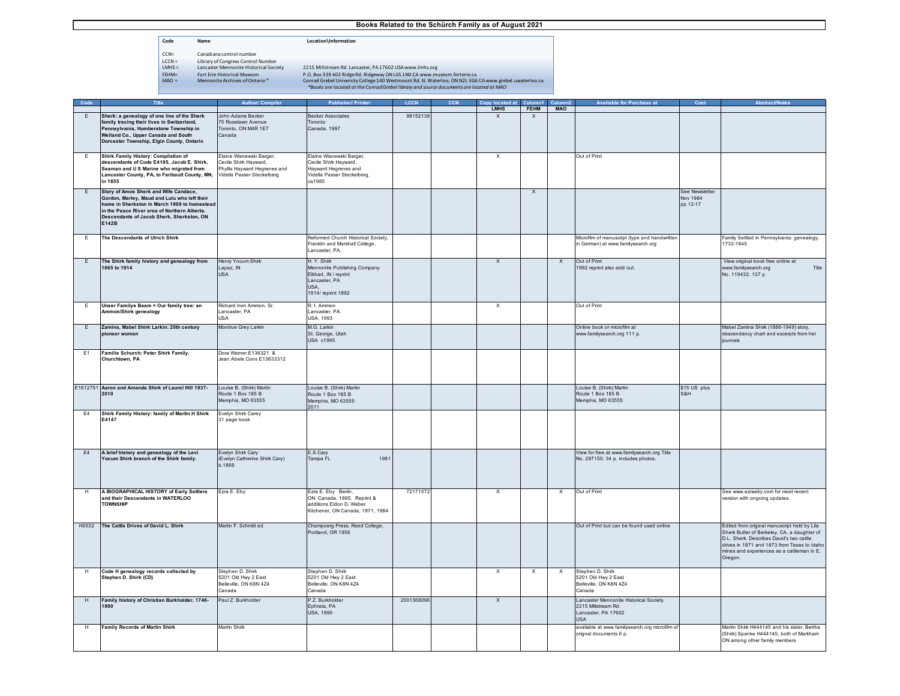**Code Name Location\Information**

- $\begin{tabular}{ll} CCA = & \multicolumn{2}{c}{\texttt{Canadian control number}} \\ \texttt{LCCN} = & \multicolumn{2}{c}{\texttt{Library of Congress Control}} \\ \texttt{IMHS} = & \multicolumn{2}{c}{\texttt{Lancaster Member} } \end{tabular} \vspace{0.1cm} \begin{tabular}{ll} \texttt{REHM} = & \multicolumn{2}{c}{\texttt{For their Introduction}} \\ \texttt{FHM} = & \multicolumn{2}{c}{\texttt{For the historical Museum}} \\ \texttt{MAO} = & \multicolumn{2}{c}{\texttt{Memonite Archives of Ontario}} \\ \end{tabular} \vspace{0.1cm} \begin{tabular}{llll} \$ 
	- Library of Congress Control Number<br>Library of Congress Control Number<br>Lancaster Mennonite Historical Society
	-

| Code           |                                                                                              | <b>Author/ Compile</b>                                     |                                                     |            | Copy located at             | Column1                   |                           | <b>Available for Purchase at</b>                                         |                |                                                                                           |
|----------------|----------------------------------------------------------------------------------------------|------------------------------------------------------------|-----------------------------------------------------|------------|-----------------------------|---------------------------|---------------------------|--------------------------------------------------------------------------|----------------|-------------------------------------------------------------------------------------------|
|                | Sherk: a genealogy of one line of the Sherk                                                  | John Adams Becker                                          | <b>Becker Associates</b>                            | 9815213    | <b>LMHS</b><br>$\mathbf{x}$ | <b>FEHM</b>               | <b>MAO</b>                |                                                                          |                |                                                                                           |
| E              | family tracing their lives in Switzerland,                                                   | 75 Roselawn Avenue                                         | Toronto                                             |            |                             | $\mathsf{x}$              |                           |                                                                          |                |                                                                                           |
|                | Pennsylvania, Humberstone Township in                                                        | Toronto, ON M4R 1E7                                        | Canada, 1997                                        |            |                             |                           |                           |                                                                          |                |                                                                                           |
|                | Welland Co., Upper Canada and South<br>Dorcester Township, Elgin County, Ontario             | Canada                                                     |                                                     |            |                             |                           |                           |                                                                          |                |                                                                                           |
|                |                                                                                              |                                                            |                                                     |            |                             |                           |                           |                                                                          |                |                                                                                           |
| E              | Shirk Family History: Compilation of                                                         | Elaine Wisnewski Barger,                                   | Elaine Wisnewski Barger,                            |            | $\times$                    |                           |                           | Out of Print                                                             |                |                                                                                           |
|                | descendants of Code E4195, Jacob E. Shirk,                                                   | Cecile Shirk Hayward,                                      | Cecile Shirk Hayward,                               |            |                             |                           |                           |                                                                          |                |                                                                                           |
|                | Seaman and U S Marine who migrated from<br>Lancaster County, PA, to Faribault County, MN,    | Phyllis Hayward Hegrenes and<br>Vidella Passer Steckelberg | Hayward Hegrenes and<br>Vidella Passer Steckelberg, |            |                             |                           |                           |                                                                          |                |                                                                                           |
|                | in 1855                                                                                      |                                                            | ca 1980                                             |            |                             |                           |                           |                                                                          |                |                                                                                           |
| E              | Story of Amos Sherk and Wife Candace,                                                        |                                                            |                                                     |            |                             | $\boldsymbol{\mathsf{x}}$ |                           |                                                                          | See Newsletter |                                                                                           |
|                | Gordon, Marley, Maud and Lulu who left their                                                 |                                                            |                                                     |            |                             |                           |                           |                                                                          | Nov 1984       |                                                                                           |
|                | home in Sherkston in March 1909 to homestead<br>in the Peace River area of Northern Alberta. |                                                            |                                                     |            |                             |                           |                           |                                                                          | pp 12-17       |                                                                                           |
|                | Descendants of Jacob Sherk, Sherkston, ON                                                    |                                                            |                                                     |            |                             |                           |                           |                                                                          |                |                                                                                           |
|                | E142B                                                                                        |                                                            |                                                     |            |                             |                           |                           |                                                                          |                |                                                                                           |
| E              | The Descendants of Ulrich Shirk                                                              |                                                            | Reformed Church Historical Society,                 |            |                             |                           |                           | Microfilm of manuscript (type and handwritter                            |                | Family Settled in Pennsylvania: genealogy,                                                |
|                |                                                                                              |                                                            | Franklin and Marshall College,                      |            |                             |                           |                           | in German) at www.familysearch.org                                       |                | 1732-1845                                                                                 |
|                |                                                                                              |                                                            | ancaster, PA.                                       |            |                             |                           |                           |                                                                          |                |                                                                                           |
| E              | The Shirk family history and genealogy from                                                  | lenry Yocum Shirk                                          | H. Y. Shirk                                         |            | $\times$                    |                           | $\boldsymbol{\mathsf{x}}$ | Out of Print                                                             |                | View original book free online at                                                         |
|                | 1665 to 1914                                                                                 | Lapaz, IN                                                  | Mennonite Publishing Company                        |            |                             |                           |                           | 1992 reprint also sold out.                                              |                | www.familysearch.org<br>Title                                                             |
|                |                                                                                              | <b>USA</b>                                                 | Elkhart, IN / reprint<br>Lancaster, PA              |            |                             |                           |                           |                                                                          |                | No. 119432. 137 p.                                                                        |
|                |                                                                                              |                                                            | USA,                                                |            |                             |                           |                           |                                                                          |                |                                                                                           |
|                |                                                                                              |                                                            | 1914/ reprint 1992                                  |            |                             |                           |                           |                                                                          |                |                                                                                           |
| E              | Unser Familye Baam = Our family tree: an                                                     | Richard Irvin Ammon, Sr.                                   | R. I. Ammon                                         |            | X                           |                           |                           | Out of Print                                                             |                |                                                                                           |
|                | Ammon/Shirk genealogy                                                                        | Lancaster, PA<br>USA                                       | Lancaster, PA<br>USA, 1993                          |            |                             |                           |                           |                                                                          |                |                                                                                           |
|                |                                                                                              |                                                            | M.G. Larkin                                         |            |                             |                           |                           |                                                                          |                |                                                                                           |
| E              | Zamina, Mabel Shirk Larkin: 20th century<br>pioneer woman                                    | Montrue Grey Larkin                                        | St. George, Utah                                    |            |                             |                           |                           | Online book or microfilm at<br>www.familysearch.org 111 p.               |                | Mabel Zamina Shirk (1886-1949) story,<br>descendancy chart and excerpts from her          |
|                |                                                                                              |                                                            | USA c1995                                           |            |                             |                           |                           |                                                                          |                | ioumals                                                                                   |
| E1             | Familie Schurch: Peter Shirk Family,                                                         | Dora Wamer E136321 &                                       |                                                     |            |                             |                           |                           |                                                                          |                |                                                                                           |
|                | Churchtown, PA                                                                               | Jean Abele Cons E13633312                                  |                                                     |            |                             |                           |                           |                                                                          |                |                                                                                           |
|                |                                                                                              |                                                            |                                                     |            |                             |                           |                           |                                                                          |                |                                                                                           |
|                |                                                                                              |                                                            |                                                     |            |                             |                           |                           |                                                                          |                |                                                                                           |
|                | E1612751 Aaron and Amanda Shirk of Laurel Hill 1937-                                         | Louise B. (Shirk) Martin                                   | Louise B. (Shirk) Martin                            |            |                             |                           |                           | Louise B. (Shirk) Martin                                                 | \$15 US plus   |                                                                                           |
|                | 2010                                                                                         | Route 1 Box 185 B                                          | Route 1 Box 185 B                                   |            |                             |                           |                           | Route 1 Box 185 B                                                        | S&H            |                                                                                           |
|                |                                                                                              | Memphis, MO 63555                                          | Memphis, MO 63555<br>2011                           |            |                             |                           |                           | Memphis, MO 63555                                                        |                |                                                                                           |
| E <sub>4</sub> | Shirk Family History: family of Martin H Shirk                                               | Evelyn Shirk Carey                                         |                                                     |            |                             |                           |                           |                                                                          |                |                                                                                           |
|                | E4147                                                                                        | 31 page book                                               |                                                     |            |                             |                           |                           |                                                                          |                |                                                                                           |
|                |                                                                                              |                                                            |                                                     |            |                             |                           |                           |                                                                          |                |                                                                                           |
|                |                                                                                              |                                                            |                                                     |            |                             |                           |                           |                                                                          |                |                                                                                           |
| E4             | A brief history and genealogy of the Levi                                                    | Evelyn Shirk Cary                                          | E.S.Carv                                            |            |                             |                           |                           | View for free at www.familysearch.org Title                              |                |                                                                                           |
|                | Yocum Shirk branch of the Shirk family.                                                      | (Evelyn Catherine Shirk Cary)                              | 1981<br>Tampa FL                                    |            |                             |                           |                           | No. 297150. 34 p. includes photos.                                       |                |                                                                                           |
|                |                                                                                              | b.1888                                                     |                                                     |            |                             |                           |                           |                                                                          |                |                                                                                           |
|                |                                                                                              |                                                            |                                                     |            |                             |                           |                           |                                                                          |                |                                                                                           |
|                |                                                                                              |                                                            |                                                     |            |                             |                           |                           |                                                                          |                |                                                                                           |
| H              | A BIOGRAPHICAL HISTORY of Early Settlers<br>and their Descendants in WATERLOO                | Ezra E. Eby                                                | Ezra E. Eby Berlin,<br>ON Canada, 1895. Reprint &   | 7217157    | $\times$                    |                           | $\boldsymbol{\mathsf{x}}$ | Out of Print                                                             |                | See www.ezraeby.com for most recent<br>version with ongoing updates.                      |
|                | <b>TOWNSHIP</b>                                                                              |                                                            | additions Eldon D. Weber                            |            |                             |                           |                           |                                                                          |                |                                                                                           |
|                |                                                                                              |                                                            | Kitchener, ON Canada, 1971, 1984                    |            |                             |                           |                           |                                                                          |                |                                                                                           |
| H0532          | The Cattle Drives of David L. Shirk                                                          | Martin F. Schmitt ed.                                      | Champoerg Press, Reed College,                      |            |                             |                           |                           | Out of Print but can be found used online                                |                | Edited from original manuscript held by Lila                                              |
|                |                                                                                              |                                                            | Portland, OR 1956                                   |            |                             |                           |                           |                                                                          |                | Sherk Butler of Berkeley, CA, a daughter of                                               |
|                |                                                                                              |                                                            |                                                     |            |                             |                           |                           |                                                                          |                | D.L. Sherk. Describes David's two cattle                                                  |
|                |                                                                                              |                                                            |                                                     |            |                             |                           |                           |                                                                          |                | drives in 1871 and 1873 from Texas to Idaho<br>mines and experiences as a cattleman in E. |
|                |                                                                                              |                                                            |                                                     |            |                             |                           |                           |                                                                          |                | Oregon.                                                                                   |
|                |                                                                                              |                                                            |                                                     |            |                             |                           |                           |                                                                          |                |                                                                                           |
| H              | Code H genealogy records collected by<br>Stephen D. Shirk (CD)                               | Stephen D. Shirk<br>5201 Old Hwy 2 East                    | Stephen D. Shirk<br>5201 Old Hwy 2 East             |            | $\times$                    | $\times$                  | X                         | Stephen D. Shirk<br>5201 Old Hwy 2 East                                  |                |                                                                                           |
|                |                                                                                              | Belleville, ON K8N 4Z4                                     | Belleville, ON K8N 4Z4                              |            |                             |                           |                           | Belleville, ON K8N 4Z4                                                   |                |                                                                                           |
|                |                                                                                              | Canada                                                     | Canada                                              |            |                             |                           |                           | Canada                                                                   |                |                                                                                           |
| H              | Family history of Christian Burkholder, 1746-<br>1990                                        | Paul Z. Burkholder                                         | P.Z. Burkholder<br>Ephrata, PA                      | 2001368096 | $\times$                    |                           |                           | Lancaster Mennonite Historical Society<br>2215 Millstream Rd.            |                |                                                                                           |
|                |                                                                                              |                                                            | USA, 1990                                           |            |                             |                           |                           | Lancaster, PA 17602                                                      |                |                                                                                           |
|                |                                                                                              |                                                            |                                                     |            |                             |                           |                           | <b>USA</b>                                                               |                |                                                                                           |
| H              | <b>Family Records of Martin Shirk</b>                                                        | <b>Martin Shirk</b>                                        |                                                     |            |                             |                           |                           | available at www.familysearch.org microfilm of<br>orignal documents 6 p. |                | Martin Shirk H444145 and his sister. Bertha<br>(Shirk) Spanke H444145, both of Markham    |
|                |                                                                                              |                                                            |                                                     |            |                             |                           |                           |                                                                          |                | ON among other family members                                                             |
|                |                                                                                              |                                                            |                                                     |            |                             |                           |                           |                                                                          |                |                                                                                           |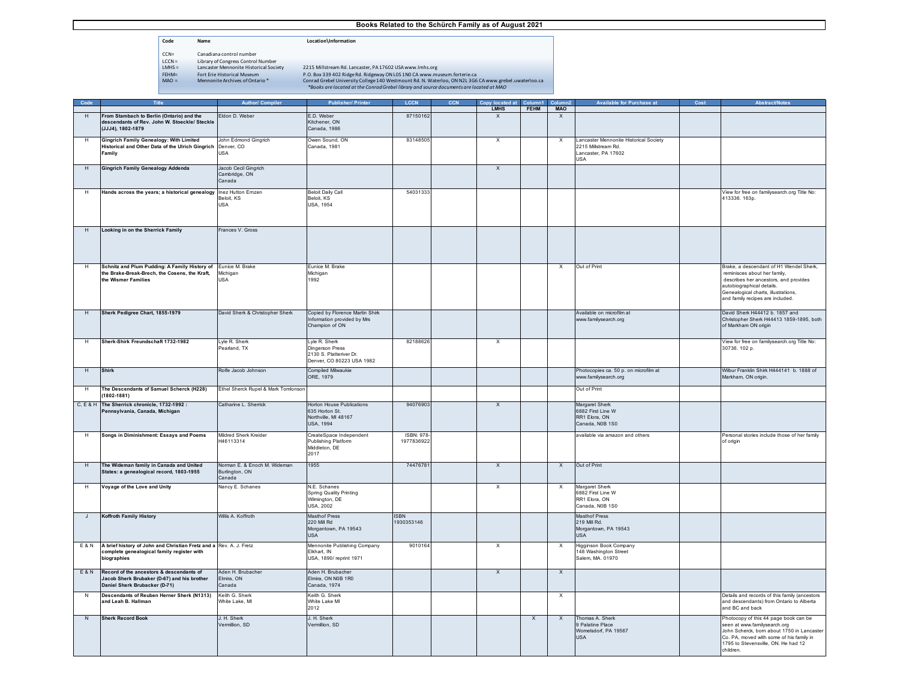- **Code Name Location\Information**
- CCN= Canadiana control number<br>
LCCN = Library of Congress Control<br>
LMHS = Lancaster Mennonite Histor
- Library of Congress Control Number<br>Library of Congress Control Number<br>Lancaster Mennonite Historical Society
- 
- 

| Code |                                               | Author/ Compiler | Publisher/Printer | <b>LCCM</b> | <b>CCN</b> |      |             |            | Available for Purchase at | Cost | <b>Abstract/Note</b> |
|------|-----------------------------------------------|------------------|-------------------|-------------|------------|------|-------------|------------|---------------------------|------|----------------------|
|      |                                               |                  |                   |             |            | LMHS | <b>FEHM</b> | <b>MAC</b> |                           |      |                      |
|      | From Stambach to Berlin (Ontario) and the     | Eldon D. Weber   | .D. Weber         | 87150162    |            |      |             |            |                           |      |                      |
|      | descendants of Rev. John W. Stoeckle/ Steckle |                  | Kitchener, ON     |             |            |      |             |            |                           |      |                      |
|      | (JJJ4), 1802-1879                             |                  | Canada, 1986      |             |            |      |             |            |                           |      |                      |
|      |                                               |                  |                   |             |            |      |             |            |                           |      |                      |

|                | descendants of Rev. John W. Stoeckle/ Steckle<br>(JJJ4), 1802-1879                                                                    |                                                          | Kitchener, ON<br>Canada, 1986                                                            |                           |                           |                           |                           |                                                                                                    |                                                                                                                                                                                                                          |
|----------------|---------------------------------------------------------------------------------------------------------------------------------------|----------------------------------------------------------|------------------------------------------------------------------------------------------|---------------------------|---------------------------|---------------------------|---------------------------|----------------------------------------------------------------------------------------------------|--------------------------------------------------------------------------------------------------------------------------------------------------------------------------------------------------------------------------|
|                | <b>Gingrich Family Genealogy: With Limited</b><br>Historical and Other Data of the Ulrich Gingrich<br>Family                          | John Edmond Ginarich<br>Denver, CO<br><b>JSA</b>         | Owen Sound, ON<br>Canada, 1981                                                           | 83148505                  | $\times$                  |                           | $\times$                  | Lancaster Mennonite Historical Society<br>2215 Millstream Rd.<br>Lancaster, PA 17602<br><b>USA</b> |                                                                                                                                                                                                                          |
| H              | <b>Gingrich Family Genealogy Addenda</b>                                                                                              | Jacob Cecil Gingrich<br>Cambridge, ON<br>Canada          |                                                                                          |                           | $\boldsymbol{\mathsf{X}}$ |                           |                           |                                                                                                    |                                                                                                                                                                                                                          |
| H              | Hands across the years; a historical genealogy Inez Hutton Ernzen                                                                     | Beloit, KS<br><b>JSA</b>                                 | <b>Beloit Daily Call</b><br>Beloit, KS<br>USA, 1954                                      | 54031333                  |                           |                           |                           |                                                                                                    | View for free on familysearch.org Title No:<br>413336. 163p.                                                                                                                                                             |
| $\mathsf H$    | Looking in on the Sherrick Family                                                                                                     | Frances V. Gross                                         |                                                                                          |                           |                           |                           |                           |                                                                                                    |                                                                                                                                                                                                                          |
| H              | Schnitz and Plum Pudding: A Family History of Eunice M. Brake<br>the Brake-Break-Brech, the Cosens, the Kraft,<br>the Wismer Families | Michigan<br><b>USA</b>                                   | Eunice M. Brake<br>Michigan<br>1992                                                      |                           |                           |                           | $\times$                  | Out of Print                                                                                       | Brake, a descendant of H1 Wendel Sherk,<br>reminisces about her family.<br>describes her ancestors, and provides<br>autobiographical details.<br>Genealogical charts, illustrations,<br>and family recipes are included. |
| H              | Sherk Pedigree Chart, 1855-1979                                                                                                       | David Sherk & Christopher Sherk                          | Copied by Florence Martin Shirk<br>nformation provided by Mrs<br>Champion of ON          |                           |                           |                           |                           | Available on microfilm at<br>ww.familysearch.org                                                   | David Sherk H44412 b. 1857 and<br>Christopher Sherk H44413 1859-1895, both<br>of Markham ON origin                                                                                                                       |
| H              | Sherk-Shirk Freundschaft 1732-1982                                                                                                    | Lyle R. Sherk<br>earland, TX                             | Lyle R. Sherk<br>Dingerson Press<br>2130 S. Platteriver Dr.<br>Denver, CO 80223 USA 1982 | 82188626                  | $\times$                  |                           |                           |                                                                                                    | View for free on familysearch.org Title No:<br>30736. 102 p.                                                                                                                                                             |
| H              | <b>Shirk</b>                                                                                                                          | Rolfe Jacob Johnson                                      | Compiled Milwaukie<br>ORE, 1979                                                          |                           |                           |                           |                           | Photocopies ca. 50 p. on microfilm at<br>www.familysearch.org                                      | Wilbur Franklin Shirk H444141 b. 1888 of<br>Markham, ON origin.                                                                                                                                                          |
| H              | The Descendants of Samuel Scherck (H228)<br>$(1802 - 1881)$                                                                           | Ethel Sherck Rupel & Mark Tomlonsor                      |                                                                                          |                           |                           |                           |                           | Out of Print                                                                                       |                                                                                                                                                                                                                          |
| C, E & H       | The Sherrick chronicle, 1732-1992 :<br>Pennsylvania, Canada, Michigan                                                                 | Catharine L. Sherrick                                    | <b>Horton House Publications</b><br>635 Horton St.<br>Northville, MI 48167<br>USA, 1994  | 94076903                  | $\mathsf{x}$              |                           |                           | Margaret Sherk<br>6882 First Line W<br>RR1 Elora, ON<br>Canada, NOB 1S0                            |                                                                                                                                                                                                                          |
| H              | Songs in Diminishment: Essays and Poems                                                                                               | Mildred Sherk Kreider<br>H46113314                       | CreateSpace Independent<br><b>Publishing Platform</b><br>Middleton, DE<br>2017           | ISBN: 978<br>1977836922   |                           |                           |                           | available via amazon and others                                                                    | Personal stories include those of her family<br>of origin                                                                                                                                                                |
| $\overline{H}$ | The Wideman family in Canada and United<br>States: a genealogical record, 1803-1955                                                   | Norman E. & Enoch M. Wideman<br>Burlington, ON<br>Canada | 1955                                                                                     | 74476781                  | $\overline{X}$            |                           | $\overline{\mathsf{x}}$   | Out of Print                                                                                       |                                                                                                                                                                                                                          |
| H              | Voyage of the Love and Unity                                                                                                          | Nancy E. Schanes                                         | N.E. Schanes<br>Spring Quality Printing<br><br>Wilmington, DE<br>USA, 2002               |                           | $\times$                  |                           | $\times$                  | Margaret Sherk<br>6882 First Line W<br>RR1 Elora, ON<br>Canada, NOB 1S0                            |                                                                                                                                                                                                                          |
| $\overline{1}$ | <b>Koffroth Family History</b>                                                                                                        | Willis A. Koffroth                                       | <b>Masthof Press</b><br>220 Mill Rd<br>Morgantown, PA 19543<br><b>JSA</b>                | <b>ISBN</b><br>1930353146 |                           |                           |                           | <b>Masthof Press</b><br>219 Mill Rd.<br>Morgantown, PA 19543<br><b>USA</b>                         |                                                                                                                                                                                                                          |
| E & N          | A brief history of John and Christian Fretz and a Rev. A. J. Fretz<br>complete genealogical family register with<br>biographies       |                                                          | Mennonite Publishing Company<br>Elkhart, IN<br>USA, 1890/ reprint 1971                   | 9010164                   | Х                         |                           | $\boldsymbol{\mathsf{X}}$ | Higginson Book Company<br>148 Washington Street<br>Salem, MA. 01970                                |                                                                                                                                                                                                                          |
| <b>E&amp;N</b> | Record of the ancestors & descendants of<br>Jacob Sherk Brubaker (D-67) and his brother<br>Daniel Sherk Brubacker (D-71)              | Aden H. Brubacher<br>Elmira, ON<br>Canada                | Aden H. Brubacher<br>Elmira, ON N0B 1R0<br>Canada, 1974                                  |                           | $\boldsymbol{\mathsf{x}}$ |                           | $\mathsf{x}$              |                                                                                                    |                                                                                                                                                                                                                          |
| ${\sf N}$      | Descendants of Reuben Herner Sherk (N1313)<br>and Leah B. Hallman                                                                     | Keith G. Sherk<br>White Lake, MI                         | Keith G. Sherk<br>White Lake MI<br>2012                                                  |                           |                           |                           | X                         |                                                                                                    | Details and records of this family (ancestors<br>and descendants) from Ontario to Alberta<br>and BC and back                                                                                                             |
| N              | <b>Sherk Record Book</b>                                                                                                              | J. H. Sherk<br>Vermillion, SD                            | J. H. Sherk<br>/ermillion, SD                                                            |                           |                           | $\boldsymbol{\mathsf{X}}$ | $\mathsf{X}$              | Thomas A. Sherk<br>9 Palatine Place<br>Womelsdorf, PA 19567<br><b>USA</b>                          | Photocopy of this 44 page book can be<br>seen at www.familysearch.org<br>John Scherck, born about 1750 in Lancaster<br>Co. PA, moved with some of his family in<br>1795 to Stevensville, ON. He had 12<br>children.      |